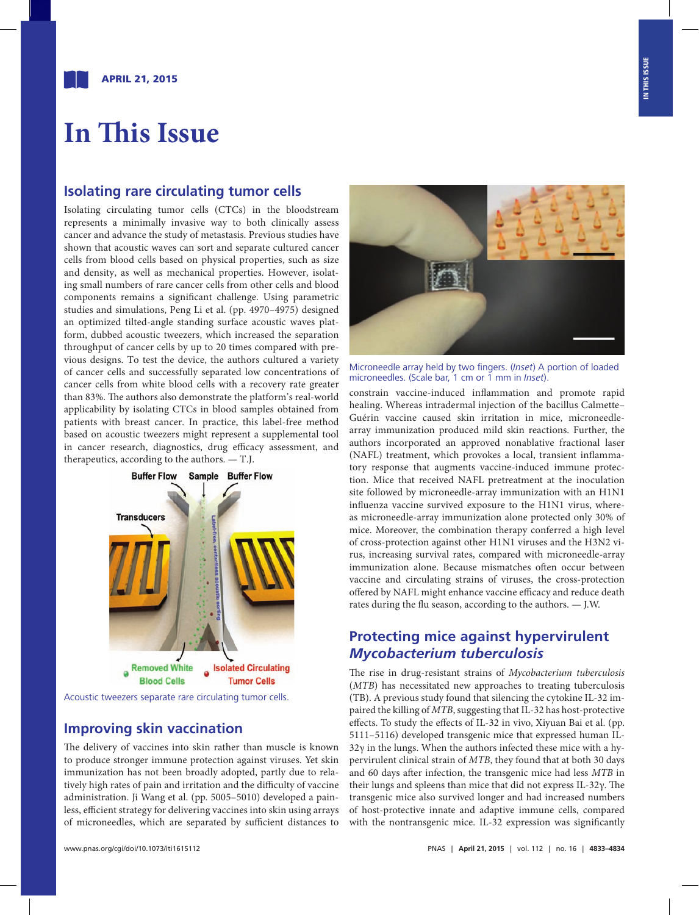# **In This Issue**

#### **Isolating rare circulating tumor cells**

Isolating circulating tumor cells (CTCs) in the bloodstream represents a minimally invasive way to both clinically assess cancer and advance the study of metastasis. Previous studies have shown that acoustic waves can sort and separate cultured cancer cells from blood cells based on physical properties, such as size and density, as well as mechanical properties. However, isolating small numbers of rare cancer cells from other cells and blood components remains a significant challenge. Using parametric studies and simulations, Peng Li et al. ([pp. 4970–4975\)](http://www.pnas.org/cgi/doi/10.1073/pnas.1504484112) designed an optimized tilted-angle standing surface acoustic waves platform, dubbed acoustic tweezers, which increased the separation throughput of cancer cells by up to 20 times compared with previous designs. To test the device, the authors cultured a variety of cancer cells and successfully separated low concentrations of cancer cells from white blood cells with a recovery rate greater than 83%. The authors also demonstrate the platform's real-world applicability by isolating CTCs in blood samples obtained from patients with breast cancer. In practice, this label-free method based on acoustic tweezers might represent a supplemental tool in cancer research, diagnostics, drug efficacy assessment, and therapeutics, according to the authors. — T.J.



Acoustic tweezers separate rare circulating tumor cells.

#### **Improving skin vaccination**

The delivery of vaccines into skin rather than muscle is known to produce stronger immune protection against viruses. Yet skin immunization has not been broadly adopted, partly due to relatively high rates of pain and irr[itation and the](http://www.pnas.org/cgi/doi/10.1073/pnas.1500408112) difficulty of vaccine administration. Ji Wang et al. (pp. 5005–5010) developed a painless, efficient strategy for delivering vaccines into skin using arrays of microneedles, which are separated by sufficient distances to



Microneedle array held by two fingers. (*Inset*) A portion of loaded microneedles. (Scale bar, 1 cm or 1 mm in *Inset*).

constrain vaccine-induced inflammation and promote rapid healing. Whereas intradermal injection of the bacillus Calmette– Guérin vaccine caused skin irritation in mice, microneedlearray immunization produced mild skin reactions. Further, the authors incorporated an approved nonablative fractional laser (NAFL) treatment, which provokes a local, transient inflammatory response that augments vaccine-induced immune protection. Mice that received NAFL pretreatment at the inoculation site followed by microneedle-array immunization with an H1N1 influenza vaccine survived exposure to the H1N1 virus, whereas microneedle-array immunization alone protected only 30% of mice. Moreover, the combination therapy conferred a high level of cross-protection against other H1N1 viruses and the H3N2 virus, increasing survival rates, compared with microneedle-array immunization alone. Because mismatches often occur between vaccine and circulating strains of viruses, the cross-protection offered by NAFL might enhance vaccine efficacy and reduce death rates during the flu season, according to the authors. — J.W.

#### **Protecting mice against hypervirulent**  *Mycobacterium tuberculosis*

The rise in drug-resistant strains of *Mycobacterium tuberculosis*  (*MTB*) has necessitated new approaches to treating tuberculosis (TB). A previous study found that silencing the cytokine IL-32 impaired the killing of *MTB*, suggesting that IL-32 has host-protective effects. To study the effects of IL-32 in vivo, Xiyuan Bai et al. ([pp.](http://www.pnas.org/cgi/doi/10.1073/pnas.1424302112) [5111–5116](http://www.pnas.org/cgi/doi/10.1073/pnas.1424302112)) developed transgenic mice that expressed human IL- $32\gamma$  in the lungs. When the authors infected these mice with a hypervirulent clinical strain of *MTB*, they found that at both 30 days and 60 days after infection, the transgenic mice had less *MTB* in their lungs and spleens than mice that did not express IL-32γ. The transgenic mice also survived longer and had increased numbers of host-protective innate and adaptive immune cells, compared with the nontransgenic mice. IL-32 expression was significantly